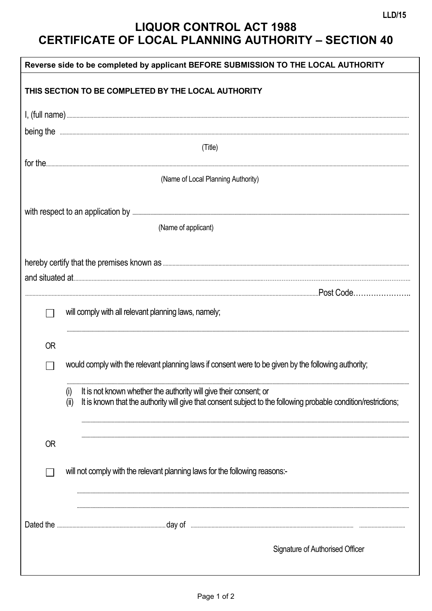## **LIQUOR CONTROL ACT 1988 CERTIFICATE OF LOCAL PLANNING AUTHORITY - SECTION 40**

| Reverse side to be completed by applicant BEFORE SUBMISSION TO THE LOCAL AUTHORITY |                                                                             |                                                                                                                 |  |  |  |  |  |  |
|------------------------------------------------------------------------------------|-----------------------------------------------------------------------------|-----------------------------------------------------------------------------------------------------------------|--|--|--|--|--|--|
|                                                                                    |                                                                             | THIS SECTION TO BE COMPLETED BY THE LOCAL AUTHORITY                                                             |  |  |  |  |  |  |
|                                                                                    |                                                                             |                                                                                                                 |  |  |  |  |  |  |
|                                                                                    |                                                                             |                                                                                                                 |  |  |  |  |  |  |
|                                                                                    |                                                                             | (Title)                                                                                                         |  |  |  |  |  |  |
|                                                                                    |                                                                             |                                                                                                                 |  |  |  |  |  |  |
|                                                                                    |                                                                             | (Name of Local Planning Authority)                                                                              |  |  |  |  |  |  |
|                                                                                    |                                                                             |                                                                                                                 |  |  |  |  |  |  |
|                                                                                    |                                                                             |                                                                                                                 |  |  |  |  |  |  |
|                                                                                    |                                                                             | (Name of applicant)                                                                                             |  |  |  |  |  |  |
|                                                                                    |                                                                             |                                                                                                                 |  |  |  |  |  |  |
|                                                                                    |                                                                             |                                                                                                                 |  |  |  |  |  |  |
|                                                                                    |                                                                             |                                                                                                                 |  |  |  |  |  |  |
|                                                                                    |                                                                             |                                                                                                                 |  |  |  |  |  |  |
|                                                                                    |                                                                             | will comply with all relevant planning laws, namely;                                                            |  |  |  |  |  |  |
| <b>OR</b>                                                                          |                                                                             |                                                                                                                 |  |  |  |  |  |  |
|                                                                                    |                                                                             |                                                                                                                 |  |  |  |  |  |  |
|                                                                                    |                                                                             | would comply with the relevant planning laws if consent were to be given by the following authority;            |  |  |  |  |  |  |
|                                                                                    | (i)                                                                         | It is not known whether the authority will give their consent; or                                               |  |  |  |  |  |  |
|                                                                                    | (i)                                                                         | It is known that the authority will give that consent subject to the following probable condition/restrictions; |  |  |  |  |  |  |
|                                                                                    |                                                                             |                                                                                                                 |  |  |  |  |  |  |
| <b>OR</b>                                                                          |                                                                             |                                                                                                                 |  |  |  |  |  |  |
|                                                                                    |                                                                             |                                                                                                                 |  |  |  |  |  |  |
|                                                                                    | will not comply with the relevant planning laws for the following reasons:- |                                                                                                                 |  |  |  |  |  |  |
|                                                                                    |                                                                             |                                                                                                                 |  |  |  |  |  |  |
|                                                                                    |                                                                             |                                                                                                                 |  |  |  |  |  |  |
|                                                                                    |                                                                             |                                                                                                                 |  |  |  |  |  |  |
|                                                                                    |                                                                             | Signature of Authorised Officer                                                                                 |  |  |  |  |  |  |
|                                                                                    |                                                                             |                                                                                                                 |  |  |  |  |  |  |
|                                                                                    |                                                                             |                                                                                                                 |  |  |  |  |  |  |